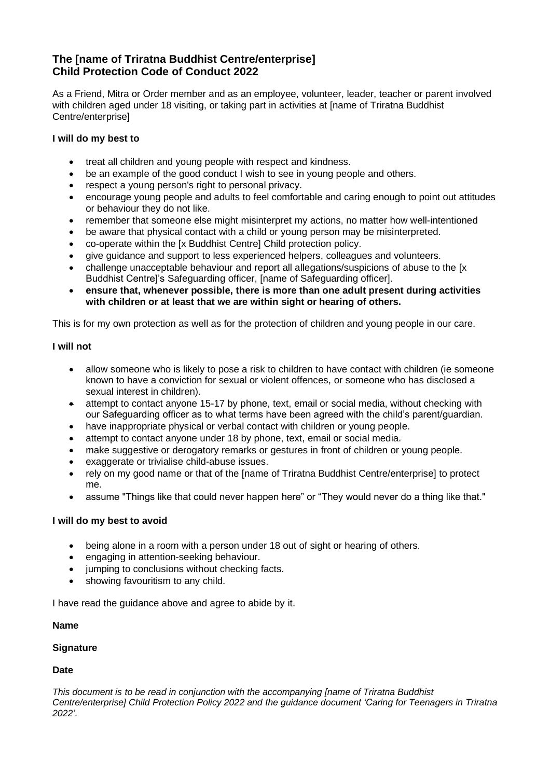# **The [name of Triratna Buddhist Centre/enterprise] Child Protection Code of Conduct 2022**

As a Friend, Mitra or Order member and as an employee, volunteer, leader, teacher or parent involved with children aged under 18 visiting, or taking part in activities at [name of Triratna Buddhist Centre/enterprise]

## **I will do my best to**

- treat all children and young people with respect and kindness.
- be an example of the good conduct I wish to see in young people and others.
- respect a young person's right to personal privacy.
- encourage young people and adults to feel comfortable and caring enough to point out attitudes or behaviour they do not like.
- remember that someone else might misinterpret my actions, no matter how well-intentioned
- be aware that physical contact with a child or young person may be misinterpreted.
- co-operate within the [x Buddhist Centre] Child protection policy.
- give guidance and support to less experienced helpers, colleagues and volunteers.
- challenge unacceptable behaviour and report all allegations/suspicions of abuse to the [x Buddhist Centre]'s Safeguarding officer, [name of Safeguarding officer].
- **ensure that, whenever possible, there is more than one adult present during activities with children or at least that we are within sight or hearing of others.**

This is for my own protection as well as for the protection of children and young people in our care.

### **I will not**

- allow someone who is likely to pose a risk to children to have contact with children (ie someone known to have a conviction for sexual or violent offences, or someone who has disclosed a sexual interest in children).
- attempt to contact anyone 15-17 by phone, text, email or social media, without checking with our Safeguarding officer as to what terms have been agreed with the child's parent/guardian.
- have inappropriate physical or verbal contact with children or young people.
- attempt to contact anyone under 18 by phone, text, email or social media-
- make suggestive or derogatory remarks or gestures in front of children or young people.
- exaggerate or trivialise child-abuse issues.
- rely on my good name or that of the Iname of Triratna Buddhist Centre/enterprisel to protect me.
- assume "Things like that could never happen here" or "They would never do a thing like that."

### **I will do my best to avoid**

- being alone in a room with a person under 18 out of sight or hearing of others.
- engaging in attention-seeking behaviour.
- jumping to conclusions without checking facts.
- showing favouritism to any child.

I have read the guidance above and agree to abide by it.

### **Name**

### **Signature**

### **Date**

*This document is to be read in conjunction with the accompanying [name of Triratna Buddhist Centre/enterprise] Child Protection Policy 2022 and the guidance document 'Caring for Teenagers in Triratna 2022'.*